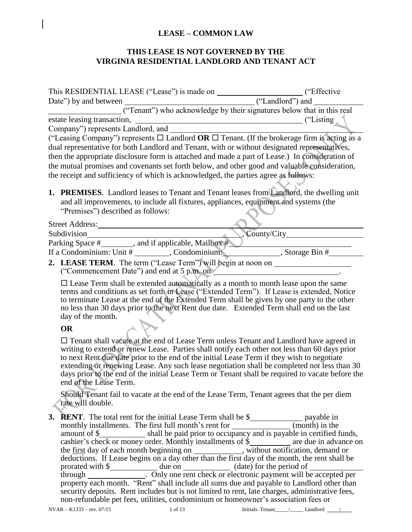### **LEASE – COMMON LAW**

### **THIS LEASE IS NOT GOVERNED BY THE VIRGINIA RESIDENTIAL LANDLORD AND TENANT ACT**

| Company") represents Landlord, and _______                                                                                                                                                                                                                                                                                                                                                                                                                                                                           |  |  |  |  |  |
|----------------------------------------------------------------------------------------------------------------------------------------------------------------------------------------------------------------------------------------------------------------------------------------------------------------------------------------------------------------------------------------------------------------------------------------------------------------------------------------------------------------------|--|--|--|--|--|
| ("Leasing Company") represents $\Box$ Landlord <b>OR</b> $\Box$ Tenant. (If the brokerage firm is acting as a<br>dual representative for both Landlord and Tenant, with or without designated representatives,<br>then the appropriate disclosure form is attached and made a part of Lease.) In consideration of<br>the mutual promises and covenants set forth below, and other good and valuable consideration,<br>the receipt and sufficiency of which is acknowledged, the parties agree as follows:            |  |  |  |  |  |
| 1. PREMISES. Landlord leases to Tenant and Tenant leases from Landlord, the dwelling unit<br>and all improvements, to include all fixtures, appliances, equipment and systems (the<br>"Premises") described as follows:                                                                                                                                                                                                                                                                                              |  |  |  |  |  |
| Street Address: 2008                                                                                                                                                                                                                                                                                                                                                                                                                                                                                                 |  |  |  |  |  |
|                                                                                                                                                                                                                                                                                                                                                                                                                                                                                                                      |  |  |  |  |  |
| Parking Space #_________, and if applicable, Mailbox #___________________________<br>If a Condominium: Unit $\#$ Condominium: Condominium: Storage Bin $\#$                                                                                                                                                                                                                                                                                                                                                          |  |  |  |  |  |
| 2. LEASE TERM. The term ("Lease Term") will begin at noon on ___________________<br>("Commencement Date") and end at 5 p.m. on example and the commencement Date") and end at 5 p.m. on                                                                                                                                                                                                                                                                                                                              |  |  |  |  |  |
| $\square$ Lease Term shall be extended automatically as a month to month lease upon the same<br>terms and conditions as set forth in Lease ("Extended Term"). If Lease is extended, Notice<br>to terminate Lease at the end of the Extended Term shall be given by one party to the other<br>no less than 30 days prior to the next Rent due date. Extended Term shall end on the last<br>day of the month.                                                                                                          |  |  |  |  |  |
| <b>OR</b>                                                                                                                                                                                                                                                                                                                                                                                                                                                                                                            |  |  |  |  |  |
| □ Tenant shall vacate at the end of Lease Term unless Tenant and Landlord have agreed in<br>writing to extend or renew Lease. Parties shall notify each other not less than 60 days prior<br>to next Rent due date prior to the end of the initial Lease Term if they wish to negotiate<br>extending or renewing Lease. Any such lease negotiation shall be completed not less than 30<br>days prior to the end of the initial Lease Term or Tenant shall be required to vacate before the<br>end of the Lease Term. |  |  |  |  |  |
| Should Tenant fail to vacate at the end of the Lease Term, Tenant agrees that the per diem<br>rate will double.                                                                                                                                                                                                                                                                                                                                                                                                      |  |  |  |  |  |
| cashier's check or money order. Monthly installments of $\frac{\xi}{\xi}$ are due in advance on the <u>first</u> day of each month beginning on <u>equal</u> , without notification, demand or deductions. If Lease begins on a day other than                                                                                                                                                                                                                                                                       |  |  |  |  |  |

prorated with \$ through . Only one rent check or electronic payment will be accepted per property each month. "Rent" shall include all sums due and payable to Landlord other than security deposits. Rent includes but is not limited to rent, late charges, administrative fees, non-refundable pet fees, utilities, condominium or homeowner's association fees or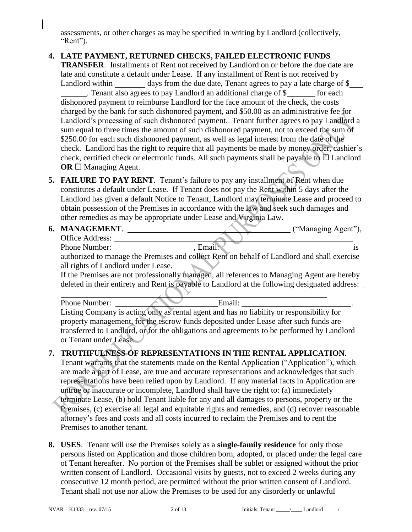assessments, or other charges as may be specified in writing by Landlord (collectively, "Rent").

# **4. LATE PAYMENT, RETURNED CHECKS, FAILED ELECTRONIC FUNDS**

**TRANSFER**. Installments of Rent not received by Landlord on or before the due date are late and constitute a default under Lease. If any installment of Rent is not received by Landlord within days from the due date, Tenant agrees to pay a late charge of \$ . Tenant also agrees to pay Landlord an additional charge of \$ for each dishonored payment to reimburse Landlord for the face amount of the check, the costs charged by the bank for such dishonored payment, and \$50.00 as an administrative fee for Landlord's processing of such dishonored payment. Tenant further agrees to pay Landlord a sum equal to three times the amount of such dishonored payment, not to exceed the sum of \$250.00 for each such dishonored payment, as well as legal interest from the date of the check. Landlord has the right to require that all payments be made by money order, cashier's check, certified check or electronic funds. All such payments shall be payable to  $\Box$  Landlord **OR** □ Managing Agent.

**5. FAILURE TO PAY RENT**. Tenant's failure to pay any installment of Rent when due constitutes a default under Lease. If Tenant does not pay the Rent within 5 days after the Landlord has given a default Notice to Tenant, Landlord may terminate Lease and proceed to obtain possession of the Premises in accordance with the law and seek such damages and other remedies as may be appropriate under Lease and Virginia Law.

**6. MANAGEMENT**. ("Managing Agent"), Office Address: Phone Number: , Email: is

authorized to manage the Premises and collect Rent on behalf of Landlord and shall exercise all rights of Landlord under Lease.

If the Premises are not professionally managed, all references to Managing Agent are hereby deleted in their entirety and Rent is payable to Landlord at the following designated address:

Phone Number: **Email:** Email:

Listing Company is acting only as rental agent and has no liability or responsibility for property management, for the escrow funds deposited under Lease after such funds are transferred to Landlord, or for the obligations and agreements to be performed by Landlord or Tenant under Lease.

# **7. TRUTHFULNESS OF REPRESENTATIONS IN THE RENTAL APPLICATION**.

Tenant warrants that the statements made on the Rental Application ("Application"), which are made a part of Lease, are true and accurate representations and acknowledges that such representations have been relied upon by Landlord. If any material facts in Application are untrue or inaccurate or incomplete, Landlord shall have the right to: (a) immediately terminate Lease, (b) hold Tenant liable for any and all damages to persons, property or the Premises, (c) exercise all legal and equitable rights and remedies, and (d) recover reasonable attorney's fees and costs and all costs incurred to reclaim the Premises and to rent the Premises to another tenant.

**8. USES**. Tenant will use the Premises solely as a **single-family residence** for only those persons listed on Application and those children born, adopted, or placed under the legal care of Tenant hereafter. No portion of the Premises shall be sublet or assigned without the prior written consent of Landlord. Occasional visits by guests, not to exceed 2 weeks during any consecutive 12 month period, are permitted without the prior written consent of Landlord. Tenant shall not use nor allow the Premises to be used for any disorderly or unlawful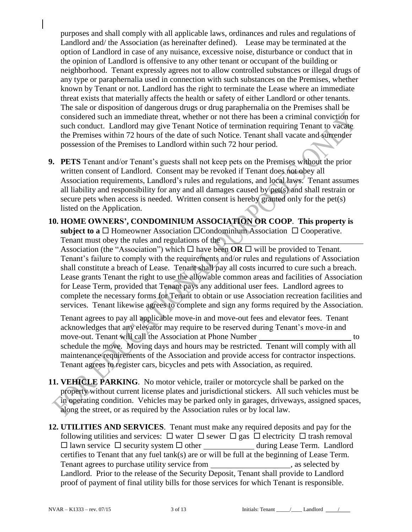purposes and shall comply with all applicable laws, ordinances and rules and regulations of Landlord and/ the Association (as hereinafter defined). Lease may be terminated at the option of Landlord in case of any nuisance, excessive noise, disturbance or conduct that in the opinion of Landlord is offensive to any other tenant or occupant of the building or neighborhood. Tenant expressly agrees not to allow controlled substances or illegal drugs of any type or paraphernalia used in connection with such substances on the Premises, whether known by Tenant or not. Landlord has the right to terminate the Lease where an immediate threat exists that materially affects the health or safety of either Landlord or other tenants. The sale or disposition of dangerous drugs or drug paraphernalia on the Premises shall be considered such an immediate threat, whether or not there has been a criminal conviction for such conduct. Landlord may give Tenant Notice of termination requiring Tenant to vacate the Premises within 72 hours of the date of such Notice. Tenant shall vacate and surrender possession of the Premises to Landlord within such 72 hour period.

- **9. PETS** Tenant and/or Tenant's guests shall not keep pets on the Premises without the prior written consent of Landlord. Consent may be revoked if Tenant does not obey all Association requirements, Landlord's rules and regulations, and local laws. Tenant assumes all liability and responsibility for any and all damages caused by pet(s) and shall restrain or secure pets when access is needed. Written consent is hereby granted only for the pet(s) listed on the Application.
- **10. HOME OWNERS', CONDOMINIUM ASSOCIATION OR COOP**. **This property is subject to a**  $\Box$  Homeowner Association  $\Box$  Condominium Association  $\Box$  Cooperative. Tenant must obey the rules and regulations of the Association (the "Association") which  $\Box$  have been **OR**  $\Box$  will be provided to Tenant. Tenant's failure to comply with the requirements and/or rules and regulations of Association shall constitute a breach of Lease. Tenant shall pay all costs incurred to cure such a breach. Lease grants Tenant the right to use the allowable common areas and facilities of Association for Lease Term, provided that Tenant pays any additional user fees. Landlord agrees to complete the necessary forms for Tenant to obtain or use Association recreation facilities and services. Tenant likewise agrees to complete and sign any forms required by the Association.

Tenant agrees to pay all applicable move-in and move-out fees and elevator fees. Tenant acknowledges that any elevator may require to be reserved during Tenant's move-in and move-out. Tenant will call the Association at Phone Number to to schedule the move. Moving days and hours may be restricted. Tenant will comply with all maintenance requirements of the Association and provide access for contractor inspections. Tenant agrees to register cars, bicycles and pets with Association, as required.

- **11. VEHICLE PARKING**. No motor vehicle, trailer or motorcycle shall be parked on the property without current license plates and jurisdictional stickers. All such vehicles must be in operating condition. Vehicles may be parked only in garages, driveways, assigned spaces, along the street, or as required by the Association rules or by local law.
- **12. UTILITIES AND SERVICES**. Tenant must make any required deposits and pay for the following utilities and services:  $\Box$  water  $\Box$  sewer  $\Box$  gas  $\Box$  electricity  $\Box$  trash removal  $\Box$  lawn service  $\Box$  security system  $\Box$  other during Lease Term. Landlord certifies to Tenant that any fuel tank(s) are or will be full at the beginning of Lease Term.<br>Tenant agrees to purchase utility service from \_\_\_\_\_\_\_\_\_\_\_\_\_\_\_\_\_\_\_\_\_\_, as selected by Tenant agrees to purchase utility service from \_\_\_\_\_\_\_\_\_\_\_\_\_\_\_\_\_\_\_\_\_, as selected by Landlord. Prior to the release of the Security Deposit, Tenant shall provide to Landlord proof of payment of final utility bills for those services for which Tenant is responsible.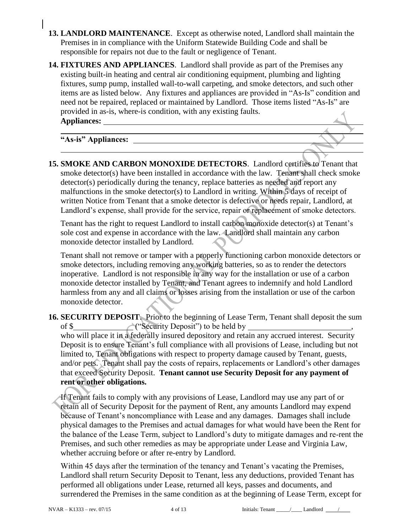- **13. LANDLORD MAINTENANCE**. Except as otherwise noted, Landlord shall maintain the Premises in in compliance with the Uniform Statewide Building Code and shall be responsible for repairs not due to the fault or negligence of Tenant.
- **14. FIXTURES AND APPLIANCES**. Landlord shall provide as part of the Premises any existing built-in heating and central air conditioning equipment, plumbing and lighting fixtures, sump pump, installed wall-to-wall carpeting, and smoke detectors, and such other items are as listed below. Any fixtures and appliances are provided in "As-Is" condition and need not be repaired, replaced or maintained by Landlord. Those items listed "As-Is" are provided in as-is, where-is condition, with any existing faults. **Appliances:**

**"As-is" Appliances:** 

**15. SMOKE AND CARBON MONOXIDE DETECTORS**. Landlord certifies to Tenant that smoke detector(s) have been installed in accordance with the law. Tenant shall check smoke detector(s) periodically during the tenancy, replace batteries as needed and report any malfunctions in the smoke detector(s) to Landlord in writing. Within 5 days of receipt of written Notice from Tenant that a smoke detector is defective or needs repair, Landlord, at Landlord's expense, shall provide for the service, repair or replacement of smoke detectors.

Tenant has the right to request Landlord to install carbon monoxide detector(s) at Tenant's sole cost and expense in accordance with the law. Landlord shall maintain any carbon monoxide detector installed by Landlord.

Tenant shall not remove or tamper with a properly functioning carbon monoxide detectors or smoke detectors, including removing any working batteries, so as to render the detectors inoperative. Landlord is not responsible in any way for the installation or use of a carbon monoxide detector installed by Tenant, and Tenant agrees to indemnify and hold Landlord harmless from any and all claims or losses arising from the installation or use of the carbon monoxide detector.

**16. SECURITY DEPOSIT**. Prior to the beginning of Lease Term, Tenant shall deposit the sum of  $\frac{1}{2}$  ("Security Deposit") to be held by  $\frac{1}{2}$ , who will place it in a federally insured depository and retain any accrued interest. Security Deposit is to ensure Tenant's full compliance with all provisions of Lease, including but not limited to, Tenant obligations with respect to property damage caused by Tenant, guests, and/or pets. Tenant shall pay the costs of repairs, replacements or Landlord's other damages that exceed Security Deposit. **Tenant cannot use Security Deposit for any payment of rent or other obligations.**

If Tenant fails to comply with any provisions of Lease, Landlord may use any part of or retain all of Security Deposit for the payment of Rent, any amounts Landlord may expend because of Tenant's noncompliance with Lease and any damages. Damages shall include physical damages to the Premises and actual damages for what would have been the Rent for the balance of the Lease Term, subject to Landlord's duty to mitigate damages and re-rent the Premises, and such other remedies as may be appropriate under Lease and Virginia Law, whether accruing before or after re-entry by Landlord.

Within 45 days after the termination of the tenancy and Tenant's vacating the Premises, Landlord shall return Security Deposit to Tenant, less any deductions, provided Tenant has performed all obligations under Lease, returned all keys, passes and documents, and surrendered the Premises in the same condition as at the beginning of Lease Term, except for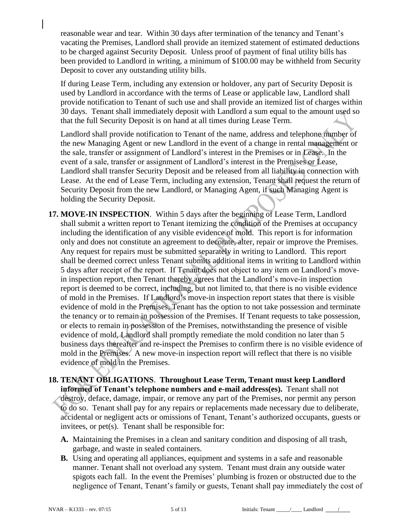reasonable wear and tear. Within 30 days after termination of the tenancy and Tenant's vacating the Premises, Landlord shall provide an itemized statement of estimated deductions to be charged against Security Deposit. Unless proof of payment of final utility bills has been provided to Landlord in writing, a minimum of \$100.00 may be withheld from Security Deposit to cover any outstanding utility bills.

If during Lease Term, including any extension or holdover, any part of Security Deposit is used by Landlord in accordance with the terms of Lease or applicable law, Landlord shall provide notification to Tenant of such use and shall provide an itemized list of charges within 30 days. Tenant shall immediately deposit with Landlord a sum equal to the amount used so that the full Security Deposit is on hand at all times during Lease Term.

Landlord shall provide notification to Tenant of the name, address and telephone number of the new Managing Agent or new Landlord in the event of a change in rental management or the sale, transfer or assignment of Landlord's interest in the Premises or in Lease. In the event of a sale, transfer or assignment of Landlord's interest in the Premises or Lease, Landlord shall transfer Security Deposit and be released from all liability in connection with Lease. At the end of Lease Term, including any extension, Tenant shall request the return of Security Deposit from the new Landlord, or Managing Agent, if such Managing Agent is holding the Security Deposit.

- **17. MOVE-IN INSPECTION**. Within 5 days after the beginning of Lease Term, Landlord shall submit a written report to Tenant itemizing the condition of the Premises at occupancy including the identification of any visible evidence of mold. This report is for information only and does not constitute an agreement to decorate, alter, repair or improve the Premises. Any request for repairs must be submitted separately in writing to Landlord. This report shall be deemed correct unless Tenant submits additional items in writing to Landlord within 5 days after receipt of the report. If Tenant does not object to any item on Landlord's movein inspection report, then Tenant thereby agrees that the Landlord's move-in inspection report is deemed to be correct, including, but not limited to, that there is no visible evidence of mold in the Premises. If Landlord's move-in inspection report states that there is visible evidence of mold in the Premises, Tenant has the option to not take possession and terminate the tenancy or to remain in possession of the Premises. If Tenant requests to take possession, or elects to remain in possession of the Premises, notwithstanding the presence of visible evidence of mold, Landlord shall promptly remediate the mold condition no later than 5 business days thereafter and re-inspect the Premises to confirm there is no visible evidence of mold in the Premises. A new move-in inspection report will reflect that there is no visible evidence of mold in the Premises.
- **18. TENANT OBLIGATIONS**. **Throughout Lease Term, Tenant must keep Landlord informed of Tenant's telephone numbers and e-mail address(es).** Tenant shall not destroy, deface, damage, impair, or remove any part of the Premises, nor permit any person to do so. Tenant shall pay for any repairs or replacements made necessary due to deliberate, accidental or negligent acts or omissions of Tenant, Tenant's authorized occupants, guests or invitees, or pet(s). Tenant shall be responsible for:
	- **A.** Maintaining the Premises in a clean and sanitary condition and disposing of all trash, garbage, and waste in sealed containers.
	- **B.** Using and operating all appliances, equipment and systems in a safe and reasonable manner. Tenant shall not overload any system. Tenant must drain any outside water spigots each fall. In the event the Premises' plumbing is frozen or obstructed due to the negligence of Tenant, Tenant's family or guests, Tenant shall pay immediately the cost of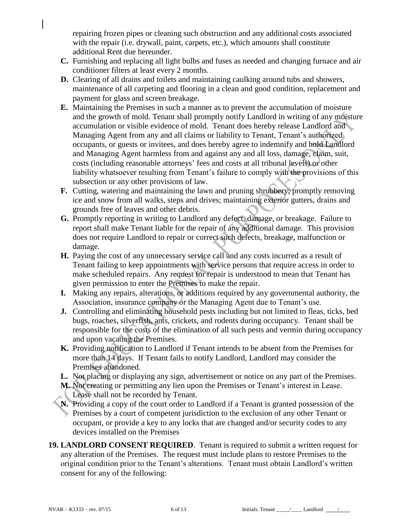repairing frozen pipes or cleaning such obstruction and any additional costs associated with the repair (i.e. drywall, paint, carpets, etc.), which amounts shall constitute additional Rent due hereunder.

- **C.** Furnishing and replacing all light bulbs and fuses as needed and changing furnace and air conditioner filters at least every 2 months.
- **D.** Clearing of all drains and toilets and maintaining caulking around tubs and showers, maintenance of all carpeting and flooring in a clean and good condition, replacement and payment for glass and screen breakage.
- **E.** Maintaining the Premises in such a manner as to prevent the accumulation of moisture and the growth of mold. Tenant shall promptly notify Landlord in writing of any moisture accumulation or visible evidence of mold. Tenant does hereby release Landlord and Managing Agent from any and all claims or liability to Tenant, Tenant's authorized occupants, or guests or invitees, and does hereby agree to indemnify and hold Landlord and Managing Agent harmless from and against any and all loss, damage, claim, suit, costs (including reasonable attorneys' fees and costs at all tribunal levels) or other liability whatsoever resulting from Tenant's failure to comply with the provisions of this subsection or any other provisions of law.
- **F.** Cutting, watering and maintaining the lawn and pruning shrubbery; promptly removing ice and snow from all walks, steps and drives; maintaining exterior gutters, drains and grounds free of leaves and other debris.
- **G.** Promptly reporting in writing to Landlord any defect, damage, or breakage. Failure to report shall make Tenant liable for the repair of any additional damage. This provision does not require Landlord to repair or correct such defects, breakage, malfunction or damage.
- **H.** Paying the cost of any unnecessary service call and any costs incurred as a result of Tenant failing to keep appointments with service persons that require access in order to make scheduled repairs. Any request for repair is understood to mean that Tenant has given permission to enter the Premises to make the repair.
- **I.** Making any repairs, alterations, or additions required by any governmental authority, the Association, insurance company or the Managing Agent due to Tenant's use.
- **J.** Controlling and eliminating household pests including but not limited to fleas, ticks, bed bugs, roaches, silverfish, ants, crickets, and rodents during occupancy. Tenant shall be responsible for the costs of the elimination of all such pests and vermin during occupancy and upon vacating the Premises.
- **K.** Providing notification to Landlord if Tenant intends to be absent from the Premises for more than 14 days. If Tenant fails to notify Landlord, Landlord may consider the Premises abandoned.
- **L.** Not placing or displaying any sign, advertisement or notice on any part of the Premises.
- **M.** Not creating or permitting any lien upon the Premises or Tenant's interest in Lease.
- Lease shall not be recorded by Tenant.
- **N.** Providing a copy of the court order to Landlord if a Tenant is granted possession of the  $\triangleright$  Premises by a court of competent jurisdiction to the exclusion of any other Tenant or occupant, or provide a key to any locks that are changed and/or security codes to any devices installed on the Premises
- **19. LANDLORD CONSENT REQUIRED**. Tenant is required to submit a written request for any alteration of the Premises. The request must include plans to restore Premises to the original condition prior to the Tenant's alterations. Tenant must obtain Landlord's written consent for any of the following: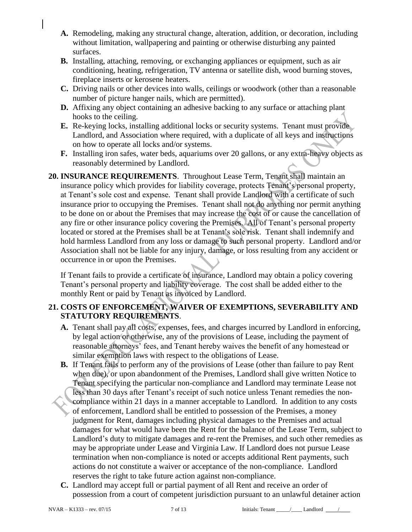- **A.** Remodeling, making any structural change, alteration, addition, or decoration, including without limitation, wallpapering and painting or otherwise disturbing any painted surfaces.
- **B.** Installing, attaching, removing, or exchanging appliances or equipment, such as air conditioning, heating, refrigeration, TV antenna or satellite dish, wood burning stoves, fireplace inserts or kerosene heaters.
- **C.** Driving nails or other devices into walls, ceilings or woodwork (other than a reasonable number of picture hanger nails, which are permitted).
- **D.** Affixing any object containing an adhesive backing to any surface or attaching plant hooks to the ceiling.
- **E.** Re-keying locks, installing additional locks or security systems. Tenant must provide Landlord, and Association where required, with a duplicate of all keys and instructions on how to operate all locks and/or systems.
- **F.** Installing iron safes, water beds, aquariums over 20 gallons, or any extra-heavy objects as reasonably determined by Landlord.
- **20. INSURANCE REQUIREMENTS**. Throughout Lease Term, Tenant shall maintain an insurance policy which provides for liability coverage, protects Tenant's personal property, at Tenant's sole cost and expense. Tenant shall provide Landlord with a certificate of such insurance prior to occupying the Premises. Tenant shall not do anything nor permit anything to be done on or about the Premises that may increase the cost of or cause the cancellation of any fire or other insurance policy covering the Premises. All of Tenant's personal property located or stored at the Premises shall be at Tenant's sole risk. Tenant shall indemnify and hold harmless Landlord from any loss or damage to such personal property. Landlord and/or Association shall not be liable for any injury, damage, or loss resulting from any accident or occurrence in or upon the Premises.

If Tenant fails to provide a certificate of insurance, Landlord may obtain a policy covering Tenant's personal property and liability coverage. The cost shall be added either to the monthly Rent or paid by Tenant as invoiced by Landlord.

### **21. COSTS OF ENFORCEMENT, WAIVER OF EXEMPTIONS, SEVERABILITY AND STATUTORY REQUIREMENTS**.

- **A.** Tenant shall pay all costs, expenses, fees, and charges incurred by Landlord in enforcing, by legal action or otherwise, any of the provisions of Lease, including the payment of reasonable attorneys' fees, and Tenant hereby waives the benefit of any homestead or similar exemption laws with respect to the obligations of Lease.
- **B.** If Tenant fails to perform any of the provisions of Lease (other than failure to pay Rent when due), or upon abandonment of the Premises, Landlord shall give written Notice to Tenant specifying the particular non-compliance and Landlord may terminate Lease not less than 30 days after Tenant's receipt of such notice unless Tenant remedies the noncompliance within 21 days in a manner acceptable to Landlord. In addition to any costs of enforcement, Landlord shall be entitled to possession of the Premises, a money judgment for Rent, damages including physical damages to the Premises and actual damages for what would have been the Rent for the balance of the Lease Term, subject to Landlord's duty to mitigate damages and re-rent the Premises, and such other remedies as may be appropriate under Lease and Virginia Law. If Landlord does not pursue Lease termination when non-compliance is noted or accepts additional Rent payments, such actions do not constitute a waiver or acceptance of the non-compliance. Landlord reserves the right to take future action against non-compliance.
- **C.** Landlord may accept full or partial payment of all Rent and receive an order of possession from a court of competent jurisdiction pursuant to an unlawful detainer action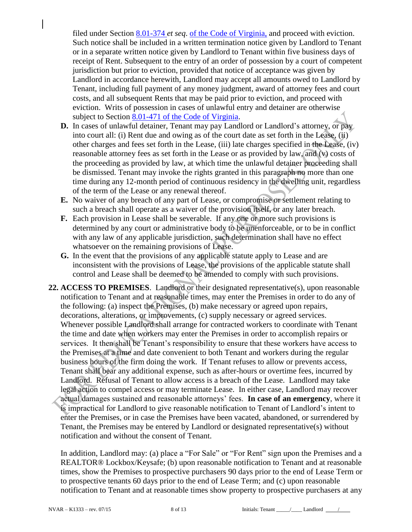filed under Section [8.01-374](http://law.lis.virginia.gov/vacode/8.01-374/) *et seq*. of the Code of Virginia, and proceed with eviction. Such notice shall be included in a written termination notice given by Landlord to Tenant or in a separate written notice given by Landlord to Tenant within five business days of receipt of Rent. Subsequent to the entry of an order of possession by a court of competent jurisdiction but prior to eviction, provided that notice of acceptance was given by Landlord in accordance herewith, Landlord may accept all amounts owed to Landlord by Tenant, including full payment of any money judgment, award of attorney fees and court costs, and all subsequent Rents that may be paid prior to eviction, and proceed with eviction. Writs of possession in cases of unlawful entry and detainer are otherwise subject to Section [8.01-471](http://law.lis.virginia.gov/vacode/8.01-471/) of the Code of Virginia.

- **D.** In cases of unlawful detainer, Tenant may pay Landlord or Landlord's attorney, or pay into court all: (i) Rent due and owing as of the court date as set forth in the Lease, (ii) other charges and fees set forth in the Lease, (iii) late charges specified in the Lease, (iv) reasonable attorney fees as set forth in the Lease or as provided by law, and (v) costs of the proceeding as provided by law, at which time the unlawful detainer proceeding shall be dismissed. Tenant may invoke the rights granted in this paragraph no more than one time during any 12-month period of continuous residency in the dwelling unit, regardless of the term of the Lease or any renewal thereof.
- **E.** No waiver of any breach of any part of Lease, or compromise or settlement relating to such a breach shall operate as a waiver of the provision itself, or any later breach.
- **F.** Each provision in Lease shall be severable. If any one or more such provisions is determined by any court or administrative body to be unenforceable, or to be in conflict with any law of any applicable jurisdiction, such determination shall have no effect whatsoever on the remaining provisions of Lease.
- **G.** In the event that the provisions of any applicable statute apply to Lease and are inconsistent with the provisions of Lease, the provisions of the applicable statute shall control and Lease shall be deemed to be amended to comply with such provisions.
- **22. ACCESS TO PREMISES**. Landlord or their designated representative(s), upon reasonable notification to Tenant and at reasonable times, may enter the Premises in order to do any of the following: (a) inspect the Premises, (b) make necessary or agreed upon repairs, decorations, alterations, or improvements, (c) supply necessary or agreed services. Whenever possible Landlord shall arrange for contracted workers to coordinate with Tenant the time and date when workers may enter the Premises in order to accomplish repairs or services. It then shall be Tenant's responsibility to ensure that these workers have access to the Premises at a time and date convenient to both Tenant and workers during the regular business hours of the firm doing the work. If Tenant refuses to allow or prevents access, Tenant shall bear any additional expense, such as after-hours or overtime fees, incurred by Landlord. Refusal of Tenant to allow access is a breach of the Lease. Landlord may take legal action to compel access or may terminate Lease. In either case, Landlord may recover actual damages sustained and reasonable attorneys' fees. **In case of an emergency**, where it is impractical for Landlord to give reasonable notification to Tenant of Landlord's intent to enter the Premises, or in case the Premises have been vacated, abandoned, or surrendered by Tenant, the Premises may be entered by Landlord or designated representative(s) without notification and without the consent of Tenant.

In addition, Landlord may: (a) place a "For Sale" or "For Rent" sign upon the Premises and a REALTOR® Lockbox/Keysafe; (b) upon reasonable notification to Tenant and at reasonable times, show the Premises to prospective purchasers 90 days prior to the end of Lease Term or to prospective tenants 60 days prior to the end of Lease Term; and (c) upon reasonable notification to Tenant and at reasonable times show property to prospective purchasers at any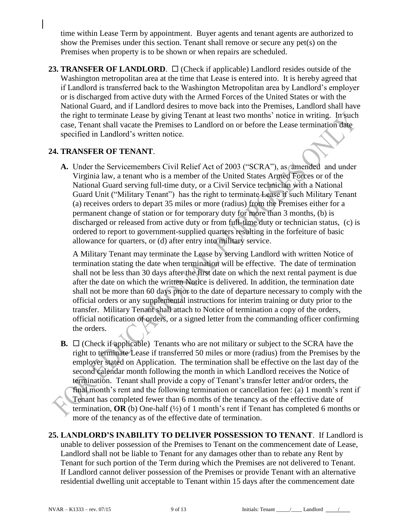time within Lease Term by appointment. Buyer agents and tenant agents are authorized to show the Premises under this section. Tenant shall remove or secure any pet(s) on the Premises when property is to be shown or when repairs are scheduled.

**23. TRANSFER OF LANDLORD.**  $\Box$  (Check if applicable) Landlord resides outside of the Washington metropolitan area at the time that Lease is entered into. It is hereby agreed that if Landlord is transferred back to the Washington Metropolitan area by Landlord's employer or is discharged from active duty with the Armed Forces of the United States or with the National Guard, and if Landlord desires to move back into the Premises, Landlord shall have the right to terminate Lease by giving Tenant at least two months' notice in writing. In such case, Tenant shall vacate the Premises to Landlord on or before the Lease termination date specified in Landlord's written notice.

### **24. TRANSFER OF TENANT**.

**A.** Under the Servicemembers Civil Relief Act of 2003 ("SCRA"), as amended and under Virginia law, a tenant who is a member of the United States Armed Forces or of the National Guard serving full-time duty, or a Civil Service technician with a National Guard Unit ("Military Tenant") has the right to terminate Lease if such Military Tenant (a) receives orders to depart 35 miles or more (radius) from the Premises either for a permanent change of station or for temporary duty for more than 3 months, (b) is discharged or released from active duty or from full-time duty or technician status, (c) is ordered to report to government-supplied quarters resulting in the forfeiture of basic allowance for quarters, or (d) after entry into military service.

A Military Tenant may terminate the Lease by serving Landlord with written Notice of termination stating the date when termination will be effective. The date of termination shall not be less than 30 days after the first date on which the next rental payment is due after the date on which the written Notice is delivered. In addition, the termination date shall not be more than 60 days prior to the date of departure necessary to comply with the official orders or any supplemental instructions for interim training or duty prior to the transfer. Military Tenant shall attach to Notice of termination a copy of the orders, official notification of orders, or a signed letter from the commanding officer confirming the orders.

**B.**  $\Box$  (Check if applicable) Tenants who are not military or subject to the SCRA have the right to terminate Lease if transferred 50 miles or more (radius) from the Premises by the employer stated on Application. The termination shall be effective on the last day of the second calendar month following the month in which Landlord receives the Notice of termination. Tenant shall provide a copy of Tenant's transfer letter and/or orders, the final month's rent and the following termination or cancellation fee: (a) 1 month's rent if Tenant has completed fewer than 6 months of the tenancy as of the effective date of termination, **OR** (b) One-half  $\left(\frac{1}{2}\right)$  of 1 month's rent if Tenant has completed 6 months or more of the tenancy as of the effective date of termination.

**25. LANDLORD'S INABILITY TO DELIVER POSSESSION TO TENANT**. If Landlord is unable to deliver possession of the Premises to Tenant on the commencement date of Lease, Landlord shall not be liable to Tenant for any damages other than to rebate any Rent by Tenant for such portion of the Term during which the Premises are not delivered to Tenant. If Landlord cannot deliver possession of the Premises or provide Tenant with an alternative residential dwelling unit acceptable to Tenant within 15 days after the commencement date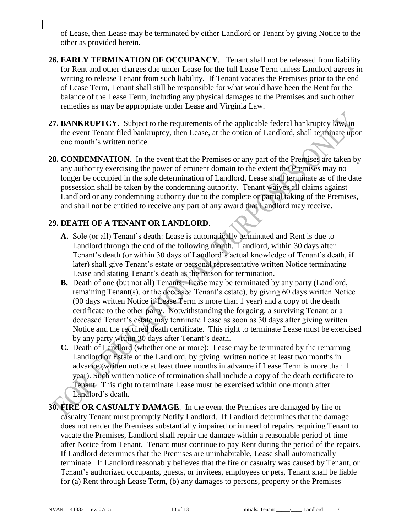of Lease, then Lease may be terminated by either Landlord or Tenant by giving Notice to the other as provided herein.

- **26. EARLY TERMINATION OF OCCUPANCY**.Tenant shall not be released from liability for Rent and other charges due under Lease for the full Lease Term unless Landlord agrees in writing to release Tenant from such liability. If Tenant vacates the Premises prior to the end of Lease Term, Tenant shall still be responsible for what would have been the Rent for the balance of the Lease Term, including any physical damages to the Premises and such other remedies as may be appropriate under Lease and Virginia Law.
- **27. BANKRUPTCY**. Subject to the requirements of the applicable federal bankruptcy law, in the event Tenant filed bankruptcy, then Lease, at the option of Landlord, shall terminate upon one month's written notice.
- **28. CONDEMNATION**. In the event that the Premises or any part of the Premises are taken by any authority exercising the power of eminent domain to the extent the Premises may no longer be occupied in the sole determination of Landlord, Lease shall terminate as of the date possession shall be taken by the condemning authority. Tenant waives all claims against Landlord or any condemning authority due to the complete or partial taking of the Premises, and shall not be entitled to receive any part of any award that Landlord may receive.

## **29. DEATH OF A TENANT OR LANDLORD**.

- **A.** Sole (or all) Tenant's death: Lease is automatically terminated and Rent is due to Landlord through the end of the following month. Landlord, within 30 days after Tenant's death (or within 30 days of Landlord's actual knowledge of Tenant's death, if later) shall give Tenant's estate or personal representative written Notice terminating Lease and stating Tenant's death as the reason for termination.
- **B.** Death of one (but not all) Tenants: Lease may be terminated by any party (Landlord, remaining Tenant(s), or the deceased Tenant's estate), by giving 60 days written Notice (90 days written Notice if Lease Term is more than 1 year) and a copy of the death certificate to the other party. Notwithstanding the forgoing, a surviving Tenant or a deceased Tenant's estate may terminate Lease as soon as 30 days after giving written Notice and the required death certificate. This right to terminate Lease must be exercised by any party within 30 days after Tenant's death.
- **C.** Death of Landlord (whether one or more): Lease may be terminated by the remaining Landlord or Estate of the Landlord, by giving written notice at least two months in advance (written notice at least three months in advance if Lease Term is more than 1 year). Such written notice of termination shall include a copy of the death certificate to Tenant. This right to terminate Lease must be exercised within one month after Landlord's death.
- **30. FIRE OR CASUALTY DAMAGE**.In the event the Premises are damaged by fire or casualty Tenant must promptly Notify Landlord. If Landlord determines that the damage does not render the Premises substantially impaired or in need of repairs requiring Tenant to vacate the Premises, Landlord shall repair the damage within a reasonable period of time after Notice from Tenant. Tenant must continue to pay Rent during the period of the repairs. If Landlord determines that the Premises are uninhabitable, Lease shall automatically terminate. If Landlord reasonably believes that the fire or casualty was caused by Tenant, or Tenant's authorized occupants, guests, or invitees, employees or pets, Tenant shall be liable for (a) Rent through Lease Term, (b) any damages to persons, property or the Premises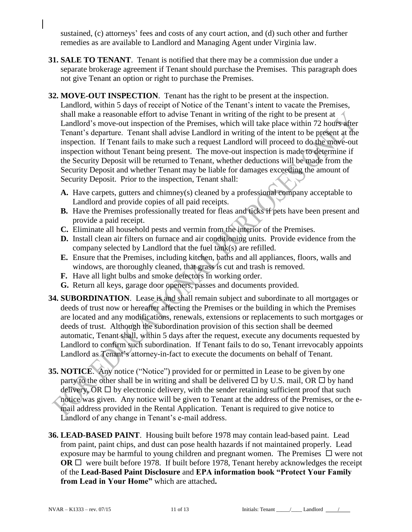sustained, (c) attorneys' fees and costs of any court action, and (d) such other and further remedies as are available to Landlord and Managing Agent under Virginia law.

- **31. SALE TO TENANT**. Tenant is notified that there may be a commission due under a separate brokerage agreement if Tenant should purchase the Premises. This paragraph does not give Tenant an option or right to purchase the Premises.
- **32. MOVE-OUT INSPECTION**. Tenant has the right to be present at the inspection. Landlord, within 5 days of receipt of Notice of the Tenant's intent to vacate the Premises, shall make a reasonable effort to advise Tenant in writing of the right to be present at Landlord's move-out inspection of the Premises, which will take place within 72 hours after Tenant's departure. Tenant shall advise Landlord in writing of the intent to be present at the inspection. If Tenant fails to make such a request Landlord will proceed to do the move-out inspection without Tenant being present. The move-out inspection is made to determine if the Security Deposit will be returned to Tenant, whether deductions will be made from the Security Deposit and whether Tenant may be liable for damages exceeding the amount of Security Deposit. Prior to the inspection, Tenant shall:
	- **A.** Have carpets, gutters and chimney(s) cleaned by a professional company acceptable to Landlord and provide copies of all paid receipts.
	- **B.** Have the Premises professionally treated for fleas and ticks if pets have been present and provide a paid receipt.
	- **C.** Eliminate all household pests and vermin from the interior of the Premises.
	- **D.** Install clean air filters on furnace and air conditioning units. Provide evidence from the company selected by Landlord that the fuel tank(s) are refilled.
	- **E.** Ensure that the Premises, including kitchen, baths and all appliances, floors, walls and windows, are thoroughly cleaned, that grass is cut and trash is removed.
	- **F.** Have all light bulbs and smoke detectors in working order.
	- **G.** Return all keys, garage door openers, passes and documents provided.
- **34. SUBORDINATION**. Lease is and shall remain subject and subordinate to all mortgages or deeds of trust now or hereafter affecting the Premises or the building in which the Premises are located and any modifications, renewals, extensions or replacements to such mortgages or deeds of trust. Although the subordination provision of this section shall be deemed automatic, Tenant shall, within 5 days after the request, execute any documents requested by Landlord to confirm such subordination. If Tenant fails to do so, Tenant irrevocably appoints Landlord as Tenant's attorney-in-fact to execute the documents on behalf of Tenant.
- **35. NOTICE**. Any notice ("Notice") provided for or permitted in Lease to be given by one party to the other shall be in writing and shall be delivered  $\Box$  by U.S. mail, OR  $\Box$  by hand delivery, OR  $\Box$  by electronic delivery, with the sender retaining sufficient proof that such notice was given. Any notice will be given to Tenant at the address of the Premises, or the email address provided in the Rental Application. Tenant is required to give notice to Landlord of any change in Tenant's e-mail address.
- **36. LEAD-BASED PAINT**.Housing built before 1978 may contain lead-based paint. Lead from paint, paint chips, and dust can pose health hazards if not maintained properly. Lead exposure may be harmful to young children and pregnant women. The Premises  $\Box$  were not **OR**  $\Box$  were built before 1978. If built before 1978, Tenant hereby acknowledges the receipt of the **Lead-Based Paint Disclosure** and **EPA information book "Protect Your Family from Lead in Your Home"** which are attached**.**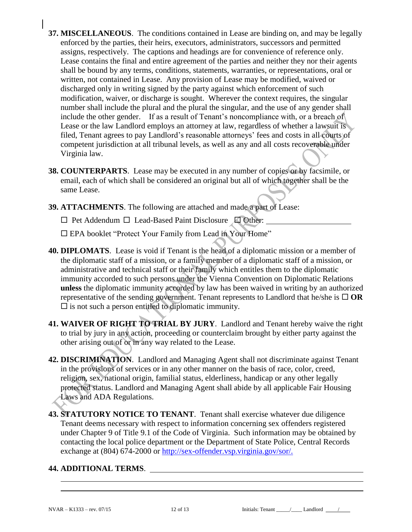- **37. MISCELLANEOUS**. The conditions contained in Lease are binding on, and may be legally enforced by the parties, their heirs, executors, administrators, successors and permitted assigns, respectively. The captions and headings are for convenience of reference only. Lease contains the final and entire agreement of the parties and neither they nor their agents shall be bound by any terms, conditions, statements, warranties, or representations, oral or written, not contained in Lease. Any provision of Lease may be modified, waived or discharged only in writing signed by the party against which enforcement of such modification, waiver, or discharge is sought. Wherever the context requires, the singular number shall include the plural and the plural the singular, and the use of any gender shall include the other gender. If as a result of Tenant's noncompliance with, or a breach of Lease or the law Landlord employs an attorney at law, regardless of whether a lawsuit is filed, Tenant agrees to pay Landlord's reasonable attorneys' fees and costs in all courts of competent jurisdiction at all tribunal levels, as well as any and all costs recoverable under Virginia law.
- **38. COUNTERPARTS**. Lease may be executed in any number of copies or by facsimile, or email, each of which shall be considered an original but all of which together shall be the same Lease.
- **39. ATTACHMENTS**. The following are attached and made a part of Lease:

 $\Box$  Pet Addendum  $\Box$  Lead-Based Paint Disclosure  $\Box$  Other:

EPA booklet "Protect Your Family from Lead in Your Home"

- **40. DIPLOMATS**. Lease is void if Tenant is the head of a diplomatic mission or a member of the diplomatic staff of a mission, or a family member of a diplomatic staff of a mission, or administrative and technical staff or their family which entitles them to the diplomatic immunity accorded to such persons under the Vienna Convention on Diplomatic Relations **unless** the diplomatic immunity accorded by law has been waived in writing by an authorized representative of the sending government. Tenant represents to Landlord that he/she is  $\Box$  OR  $\square$  is not such a person entitled to diplomatic immunity.
- **41. WAIVER OF RIGHT TO TRIAL BY JURY**. Landlord and Tenant hereby waive the right to trial by jury in any action, proceeding or counterclaim brought by either party against the other arising out of or in any way related to the Lease.
- **42. DISCRIMINATION**. Landlord and Managing Agent shall not discriminate against Tenant in the provisions of services or in any other manner on the basis of race, color, creed, religion, sex, national origin, familial status, elderliness, handicap or any other legally protected status. Landlord and Managing Agent shall abide by all applicable Fair Housing Laws and ADA Regulations.
- **43. STATUTORY NOTICE TO TENANT**. Tenant shall exercise whatever due diligence Tenant deems necessary with respect to information concerning sex offenders registered under Chapter 9 of Title 9.1 of the Code of Virginia. Such information may be obtained by contacting the local police department or the Department of State Police, Central Records exchange at (804) 674-2000 or http://sex-offender.vsp.virginia.gov/sor/.

#### **44. ADDITIONAL TERMS**.